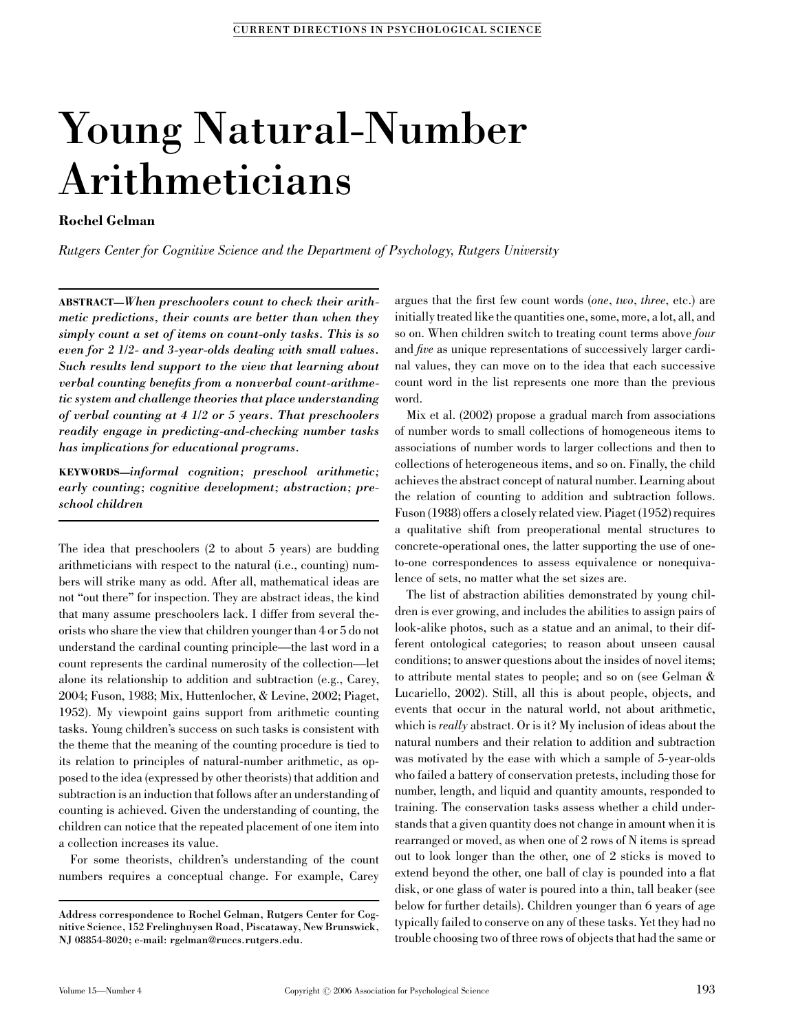# Young Natural-Number Arithmeticians

## Rochel Gelman

Rutgers Center for Cognitive Science and the Department of Psychology, Rutgers University

ABSTRACT—When preschoolers count to check their arithmetic predictions, their counts are better than when they simply count a set of items on count-only tasks. This is so even for 2 1/2- and 3-year-olds dealing with small values. Such results lend support to the view that learning about verbal counting benefits from a nonverbal count-arithmetic system and challenge theories that place understanding of verbal counting at 4 1/2 or 5 years. That preschoolers readily engage in predicting-and-checking number tasks has implications for educational programs.

KEYWORDS—informal cognition; preschool arithmetic; early counting; cognitive development; abstraction; preschool children

The idea that preschoolers (2 to about 5 years) are budding arithmeticians with respect to the natural (i.e., counting) numbers will strike many as odd. After all, mathematical ideas are not "out there" for inspection. They are abstract ideas, the kind that many assume preschoolers lack. I differ from several theorists who share the view that children younger than 4 or 5 do not understand the cardinal counting principle—the last word in a count represents the cardinal numerosity of the collection—let alone its relationship to addition and subtraction (e.g., Carey, 2004; Fuson, 1988; Mix, Huttenlocher, & Levine, 2002; Piaget, 1952). My viewpoint gains support from arithmetic counting tasks. Young children's success on such tasks is consistent with the theme that the meaning of the counting procedure is tied to its relation to principles of natural-number arithmetic, as opposed to the idea (expressed by other theorists) that addition and subtraction is an induction that follows after an understanding of counting is achieved. Given the understanding of counting, the children can notice that the repeated placement of one item into a collection increases its value.

For some theorists, children's understanding of the count numbers requires a conceptual change. For example, Carey argues that the first few count words (one, two, three, etc.) are initially treated like the quantities one, some, more, a lot, all, and so on. When children switch to treating count terms above *four* and five as unique representations of successively larger cardinal values, they can move on to the idea that each successive count word in the list represents one more than the previous word.

Mix et al. (2002) propose a gradual march from associations of number words to small collections of homogeneous items to associations of number words to larger collections and then to collections of heterogeneous items, and so on. Finally, the child achieves the abstract concept of natural number. Learning about the relation of counting to addition and subtraction follows. Fuson (1988) offers a closely related view. Piaget (1952) requires a qualitative shift from preoperational mental structures to concrete-operational ones, the latter supporting the use of oneto-one correspondences to assess equivalence or nonequivalence of sets, no matter what the set sizes are.

The list of abstraction abilities demonstrated by young children is ever growing, and includes the abilities to assign pairs of look-alike photos, such as a statue and an animal, to their different ontological categories; to reason about unseen causal conditions; to answer questions about the insides of novel items; to attribute mental states to people; and so on (see Gelman & Lucariello, 2002). Still, all this is about people, objects, and events that occur in the natural world, not about arithmetic, which is *really* abstract. Or is it? My inclusion of ideas about the natural numbers and their relation to addition and subtraction was motivated by the ease with which a sample of 5-year-olds who failed a battery of conservation pretests, including those for number, length, and liquid and quantity amounts, responded to training. The conservation tasks assess whether a child understands that a given quantity does not change in amount when it is rearranged or moved, as when one of 2 rows of N items is spread out to look longer than the other, one of 2 sticks is moved to extend beyond the other, one ball of clay is pounded into a flat disk, or one glass of water is poured into a thin, tall beaker (see below for further details). Children younger than 6 years of age typically failed to conserve on any of these tasks. Yet they had no trouble choosing two of three rows of objects that had the same or

Address correspondence to Rochel Gelman, Rutgers Center for Cognitive Science, 152 Frelinghuysen Road, Piscataway, New Brunswick, NJ 08854-8020; e-mail: rgelman@ruccs.rutgers.edu.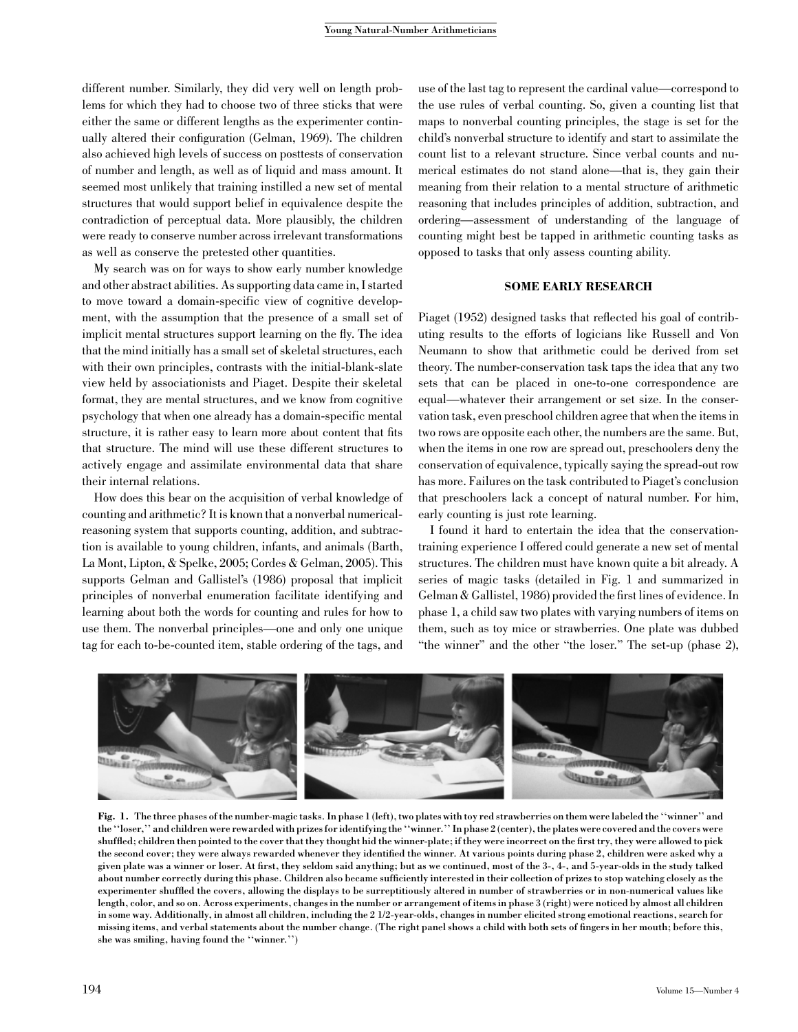different number. Similarly, they did very well on length problems for which they had to choose two of three sticks that were either the same or different lengths as the experimenter continually altered their configuration (Gelman, 1969). The children also achieved high levels of success on posttests of conservation of number and length, as well as of liquid and mass amount. It seemed most unlikely that training instilled a new set of mental structures that would support belief in equivalence despite the contradiction of perceptual data. More plausibly, the children were ready to conserve number across irrelevant transformations as well as conserve the pretested other quantities.

My search was on for ways to show early number knowledge and other abstract abilities. As supporting data came in, I started to move toward a domain-specific view of cognitive development, with the assumption that the presence of a small set of implicit mental structures support learning on the fly. The idea that the mind initially has a small set of skeletal structures, each with their own principles, contrasts with the initial-blank-slate view held by associationists and Piaget. Despite their skeletal format, they are mental structures, and we know from cognitive psychology that when one already has a domain-specific mental structure, it is rather easy to learn more about content that fits that structure. The mind will use these different structures to actively engage and assimilate environmental data that share their internal relations.

How does this bear on the acquisition of verbal knowledge of counting and arithmetic? It is known that a nonverbal numericalreasoning system that supports counting, addition, and subtraction is available to young children, infants, and animals (Barth, La Mont, Lipton, & Spelke, 2005; Cordes & Gelman, 2005). This supports Gelman and Gallistel's (1986) proposal that implicit principles of nonverbal enumeration facilitate identifying and learning about both the words for counting and rules for how to use them. The nonverbal principles—one and only one unique tag for each to-be-counted item, stable ordering of the tags, and

use of the last tag to represent the cardinal value—correspond to the use rules of verbal counting. So, given a counting list that maps to nonverbal counting principles, the stage is set for the child's nonverbal structure to identify and start to assimilate the count list to a relevant structure. Since verbal counts and numerical estimates do not stand alone—that is, they gain their meaning from their relation to a mental structure of arithmetic reasoning that includes principles of addition, subtraction, and ordering—assessment of understanding of the language of counting might best be tapped in arithmetic counting tasks as opposed to tasks that only assess counting ability.

## SOME EARLY RESEARCH

Piaget (1952) designed tasks that reflected his goal of contributing results to the efforts of logicians like Russell and Von Neumann to show that arithmetic could be derived from set theory. The number-conservation task taps the idea that any two sets that can be placed in one-to-one correspondence are equal—whatever their arrangement or set size. In the conservation task, even preschool children agree that when the items in two rows are opposite each other, the numbers are the same. But, when the items in one row are spread out, preschoolers deny the conservation of equivalence, typically saying the spread-out row has more. Failures on the task contributed to Piaget's conclusion that preschoolers lack a concept of natural number. For him, early counting is just rote learning.

I found it hard to entertain the idea that the conservationtraining experience I offered could generate a new set of mental structures. The children must have known quite a bit already. A series of magic tasks (detailed in Fig. 1 and summarized in Gelman & Gallistel, 1986) provided the first lines of evidence. In phase 1, a child saw two plates with varying numbers of items on them, such as toy mice or strawberries. One plate was dubbed "the winner" and the other "the loser." The set-up (phase 2),



Fig. 1. The three phases of the number-magic tasks. In phase 1 (left), two plates with toy red strawberries on them were labeled the ''winner'' and the ''loser,'' and children were rewarded with prizes for identifying the ''winner.'' In phase 2 (center), the plates were covered and the covers were shuffled; children then pointed to the cover that they thought hid the winner-plate; if they were incorrect on the first try, they were allowed to pick the second cover; they were always rewarded whenever they identified the winner. At various points during phase 2, children were asked why a given plate was a winner or loser. At first, they seldom said anything; but as we continued, most of the 3-, 4-, and 5-year-olds in the study talked about number correctly during this phase. Children also became sufficiently interested in their collection of prizes to stop watching closely as the experimenter shuffled the covers, allowing the displays to be surreptitiously altered in number of strawberries or in non-numerical values like length, color, and so on. Across experiments, changes in the number or arrangement of items in phase 3 (right) were noticed by almost all children in some way. Additionally, in almost all children, including the 2 1/2-year-olds, changes in number elicited strong emotional reactions, search for missing items, and verbal statements about the number change. (The right panel shows a child with both sets of fingers in her mouth; before this, she was smiling, having found the ''winner.'')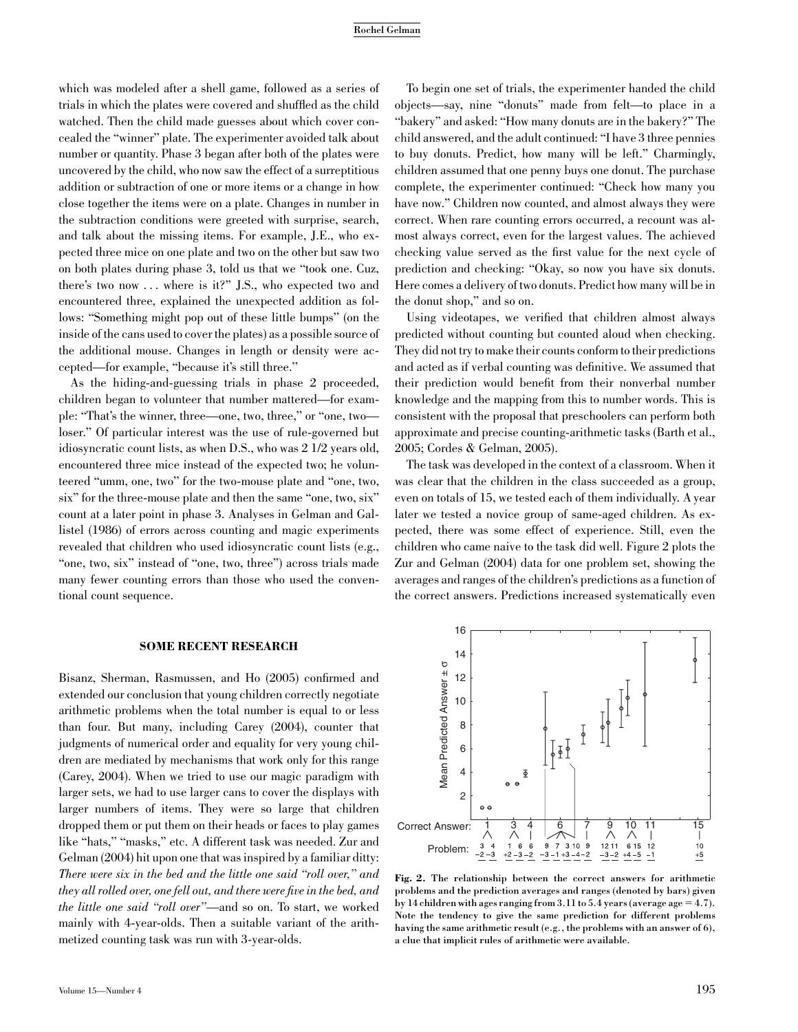#### Rochel Gelman

which was modeled after a shell game, followed as a series of trials in which the plates were covered and shuffled as the child watched. Then the child made guesses about which cover concealed the ''winner'' plate. The experimenter avoided talk about number or quantity. Phase 3 began after both of the plates were uncovered by the child, who now saw the effect of a surreptitious addition or subtraction of one or more items or a change in how close together the items were on a plate. Changes in number in the subtraction conditions were greeted with surprise, search, and talk about the missing items. For example, J.E., who expected three mice on one plate and two on the other but saw two on both plates during phase 3, told us that we ''took one. Cuz, there's two now . . . where is it?'' J.S., who expected two and encountered three, explained the unexpected addition as follows: ''Something might pop out of these little bumps'' (on the inside of the cans used to cover the plates) as a possible source of the additional mouse. Changes in length or density were accepted—for example, ''because it's still three.''

As the hiding-and-guessing trials in phase 2 proceeded, children began to volunteer that number mattered—for example: ''That's the winner, three—one, two, three,'' or ''one, two loser.'' Of particular interest was the use of rule-governed but idiosyncratic count lists, as when D.S., who was 2 1/2 years old, encountered three mice instead of the expected two; he volunteered ''umm, one, two'' for the two-mouse plate and ''one, two, six'' for the three-mouse plate and then the same ''one, two, six'' count at a later point in phase 3. Analyses in Gelman and Gallistel (1986) of errors across counting and magic experiments revealed that children who used idiosyncratic count lists (e.g., "one, two, six" instead of "one, two, three") across trials made many fewer counting errors than those who used the conventional count sequence.

#### SOME RECENT RESEARCH

Bisanz, Sherman, Rasmussen, and Ho (2005) confirmed and extended our conclusion that young children correctly negotiate arithmetic problems when the total number is equal to or less than four. But many, including Carey (2004), counter that judgments of numerical order and equality for very young children are mediated by mechanisms that work only for this range (Carey, 2004). When we tried to use our magic paradigm with larger sets, we had to use larger cans to cover the displays with larger numbers of items. They were so large that children dropped them or put them on their heads or faces to play games like "hats," "masks," etc. A different task was needed. Zur and Gelman (2004) hit upon one that was inspired by a familiar ditty: There were six in the bed and the little one said "roll over," and they all rolled over, one fell out, and there were five in the bed, and the little one said ''roll over''—and so on. To start, we worked mainly with 4-year-olds. Then a suitable variant of the arithmetized counting task was run with 3-year-olds.

To begin one set of trials, the experimenter handed the child objects—say, nine ''donuts'' made from felt—to place in a ''bakery'' and asked: ''How many donuts are in the bakery?'' The child answered, and the adult continued: ''I have 3 three pennies to buy donuts. Predict, how many will be left.'' Charmingly, children assumed that one penny buys one donut. The purchase complete, the experimenter continued: ''Check how many you have now." Children now counted, and almost always they were correct. When rare counting errors occurred, a recount was almost always correct, even for the largest values. The achieved checking value served as the first value for the next cycle of prediction and checking: ''Okay, so now you have six donuts. Here comes a delivery of two donuts. Predict how many will be in the donut shop,'' and so on.

Using videotapes, we verified that children almost always predicted without counting but counted aloud when checking. They did not try to make their counts conform to their predictions and acted as if verbal counting was definitive. We assumed that their prediction would benefit from their nonverbal number knowledge and the mapping from this to number words. This is consistent with the proposal that preschoolers can perform both approximate and precise counting-arithmetic tasks (Barth et al., 2005; Cordes & Gelman, 2005).

The task was developed in the context of a classroom. When it was clear that the children in the class succeeded as a group, even on totals of 15, we tested each of them individually. A year later we tested a novice group of same-aged children. As expected, there was some effect of experience. Still, even the children who came naive to the task did well. Figure 2 plots the Zur and Gelman (2004) data for one problem set, showing the averages and ranges of the children's predictions as a function of the correct answers. Predictions increased systematically even



Fig. 2. The relationship between the correct answers for arithmetic problems and the prediction averages and ranges (denoted by bars) given by 14 children with ages ranging from 3.11 to 5.4 years (average age  $= 4.7$ ). Note the tendency to give the same prediction for different problems having the same arithmetic result (e.g., the problems with an answer of 6), a clue that implicit rules of arithmetic were available.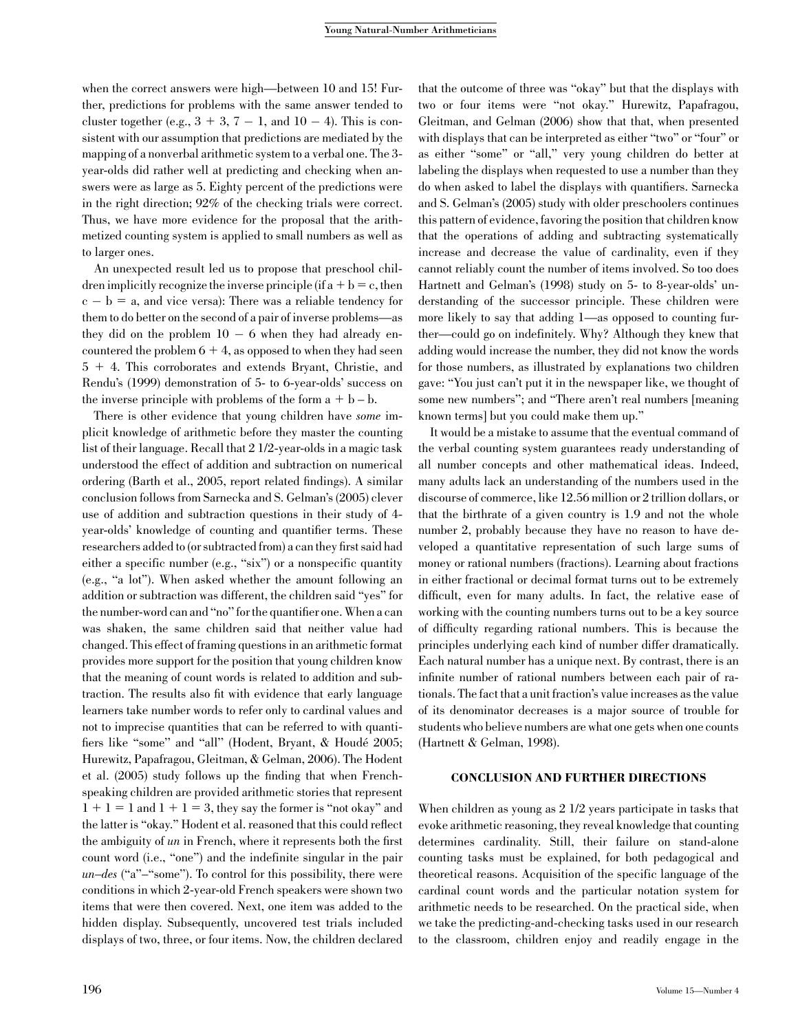when the correct answers were high—between 10 and 15! Further, predictions for problems with the same answer tended to cluster together (e.g.,  $3 + 3$ ,  $7 - 1$ , and  $10 - 4$ ). This is consistent with our assumption that predictions are mediated by the mapping of a nonverbal arithmetic system to a verbal one. The 3 year-olds did rather well at predicting and checking when answers were as large as 5. Eighty percent of the predictions were in the right direction; 92% of the checking trials were correct. Thus, we have more evidence for the proposal that the arithmetized counting system is applied to small numbers as well as to larger ones.

An unexpected result led us to propose that preschool children implicitly recognize the inverse principle (if  $a + b = c$ , then  $c - b = a$ , and vice versa): There was a reliable tendency for them to do better on the second of a pair of inverse problems—as they did on the problem  $10 - 6$  when they had already encountered the problem  $6 + 4$ , as opposed to when they had seen  $5 + 4$ . This corroborates and extends Bryant, Christie, and Rendu's (1999) demonstration of 5- to 6-year-olds' success on the inverse principle with problems of the form  $a + b - b$ .

There is other evidence that young children have some implicit knowledge of arithmetic before they master the counting list of their language. Recall that 2 1/2-year-olds in a magic task understood the effect of addition and subtraction on numerical ordering (Barth et al., 2005, report related findings). A similar conclusion follows from Sarnecka and S. Gelman's (2005) clever use of addition and subtraction questions in their study of 4 year-olds' knowledge of counting and quantifier terms. These researchers added to (or subtracted from) a can they first said had either a specific number (e.g., "six") or a nonspecific quantity (e.g., ''a lot''). When asked whether the amount following an addition or subtraction was different, the children said ''yes'' for the number-word can and ''no'' for the quantifier one. When a can was shaken, the same children said that neither value had changed. This effect of framing questions in an arithmetic format provides more support for the position that young children know that the meaning of count words is related to addition and subtraction. The results also fit with evidence that early language learners take number words to refer only to cardinal values and not to imprecise quantities that can be referred to with quantifiers like "some" and "all" (Hodent, Bryant, & Houdé 2005; Hurewitz, Papafragou, Gleitman, & Gelman, 2006). The Hodent et al. (2005) study follows up the finding that when Frenchspeaking children are provided arithmetic stories that represent  $1 + 1 = 1$  and  $1 + 1 = 3$ , they say the former is "not okay" and the latter is ''okay.'' Hodent et al. reasoned that this could reflect the ambiguity of un in French, where it represents both the first count word (i.e., ''one'') and the indefinite singular in the pair  $un–des$  ("a" $-$ "some"). To control for this possibility, there were conditions in which 2-year-old French speakers were shown two items that were then covered. Next, one item was added to the hidden display. Subsequently, uncovered test trials included displays of two, three, or four items. Now, the children declared

that the outcome of three was ''okay'' but that the displays with two or four items were ''not okay.'' Hurewitz, Papafragou, Gleitman, and Gelman (2006) show that that, when presented with displays that can be interpreted as either "two" or "four" or as either ''some'' or ''all,'' very young children do better at labeling the displays when requested to use a number than they do when asked to label the displays with quantifiers. Sarnecka and S. Gelman's (2005) study with older preschoolers continues this pattern of evidence, favoring the position that children know that the operations of adding and subtracting systematically increase and decrease the value of cardinality, even if they cannot reliably count the number of items involved. So too does Hartnett and Gelman's (1998) study on 5- to 8-year-olds' understanding of the successor principle. These children were more likely to say that adding 1—as opposed to counting further—could go on indefinitely. Why? Although they knew that adding would increase the number, they did not know the words for those numbers, as illustrated by explanations two children gave: ''You just can't put it in the newspaper like, we thought of some new numbers"; and "There aren't real numbers [meaning known terms] but you could make them up.''

It would be a mistake to assume that the eventual command of the verbal counting system guarantees ready understanding of all number concepts and other mathematical ideas. Indeed, many adults lack an understanding of the numbers used in the discourse of commerce, like 12.56 million or 2 trillion dollars, or that the birthrate of a given country is 1.9 and not the whole number 2, probably because they have no reason to have developed a quantitative representation of such large sums of money or rational numbers (fractions). Learning about fractions in either fractional or decimal format turns out to be extremely difficult, even for many adults. In fact, the relative ease of working with the counting numbers turns out to be a key source of difficulty regarding rational numbers. This is because the principles underlying each kind of number differ dramatically. Each natural number has a unique next. By contrast, there is an infinite number of rational numbers between each pair of rationals. The fact that a unit fraction's value increases as the value of its denominator decreases is a major source of trouble for students who believe numbers are what one gets when one counts (Hartnett & Gelman, 1998).

#### CONCLUSION AND FURTHER DIRECTIONS

When children as young as 2 1/2 years participate in tasks that evoke arithmetic reasoning, they reveal knowledge that counting determines cardinality. Still, their failure on stand-alone counting tasks must be explained, for both pedagogical and theoretical reasons. Acquisition of the specific language of the cardinal count words and the particular notation system for arithmetic needs to be researched. On the practical side, when we take the predicting-and-checking tasks used in our research to the classroom, children enjoy and readily engage in the